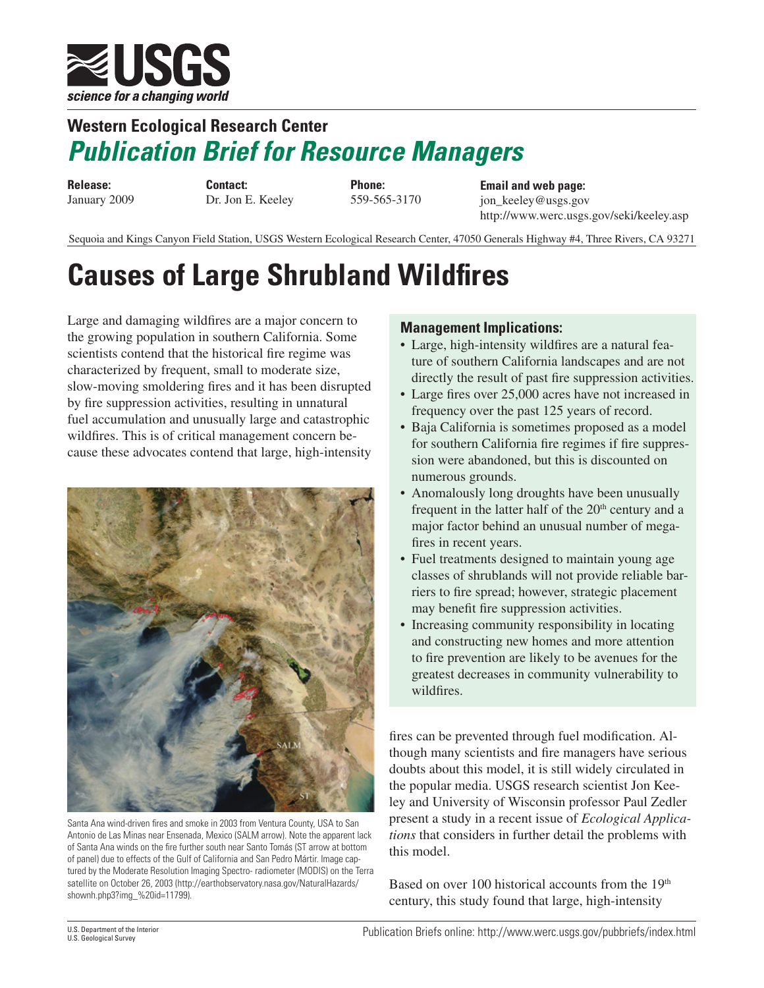

## **Western Ecological Research Center**  *Publication Brief for Resource Managers*

**Release:** January 2009

**Contact:** Dr. Jon E. Keeley **Phone:** 559-565-3170

**Email and web page:** jon\_keeley@usgs.gov http://www.werc.usgs.gov/seki/keeley.asp

Sequoia and Kings Canyon Field Station, USGS Western Ecological Research Center, 47050 Generals Highway #4, Three Rivers, CA 93271

## **Causes of Large Shrubland Wildfires**

Large and damaging wildfires are a major concern to the growing population in southern California. Some scientists contend that the historical fire regime was characterized by frequent, small to moderate size, slow-moving smoldering fires and it has been disrupted by fire suppression activities, resulting in unnatural fuel accumulation and unusually large and catastrophic wildfires. This is of critical management concern because these advocates contend that large, high-intensity



Santa Ana wind-driven fires and smoke in 2003 from Ventura County, USA to San Antonio de Las Minas near Ensenada, Mexico (SALM arrow). Note the apparent lack of Santa Ana winds on the fire further south near Santo Tomás (ST arrow at bottom of panel) due to effects of the Gulf of California and San Pedro Mártir. Image captured by the Moderate Resolution Imaging Spectro- radiometer (MODIS) on the Terra satellite on October 26, 2003 (http://earthobservatory.nasa.gov/NaturalHazards/ shownh.php3?img\_%20id=11799).

## **Management Implications:**

- Large, high-intensity wildfires are a natural feature of southern California landscapes and are not directly the result of past fire suppression activities.
- Large fires over 25,000 acres have not increased in frequency over the past 125 years of record.
- Baja California is sometimes proposed as a model for southern California fire regimes if fire suppression were abandoned, but this is discounted on numerous grounds.
- Anomalously long droughts have been unusually frequent in the latter half of the  $20<sup>th</sup>$  century and a major factor behind an unusual number of megafires in recent years.
- Fuel treatments designed to maintain young age classes of shrublands will not provide reliable barriers to fire spread; however, strategic placement may benefit fire suppression activities.
- Increasing community responsibility in locating and constructing new homes and more attention to fire prevention are likely to be avenues for the greatest decreases in community vulnerability to wildfires.

fires can be prevented through fuel modification. Although many scientists and fire managers have serious doubts about this model, it is still widely circulated in the popular media. USGS research scientist Jon Keeley and University of Wisconsin professor Paul Zedler present a study in a recent issue of *Ecological Applications* that considers in further detail the problems with this model.

Based on over 100 historical accounts from the 19<sup>th</sup> century, this study found that large, high-intensity